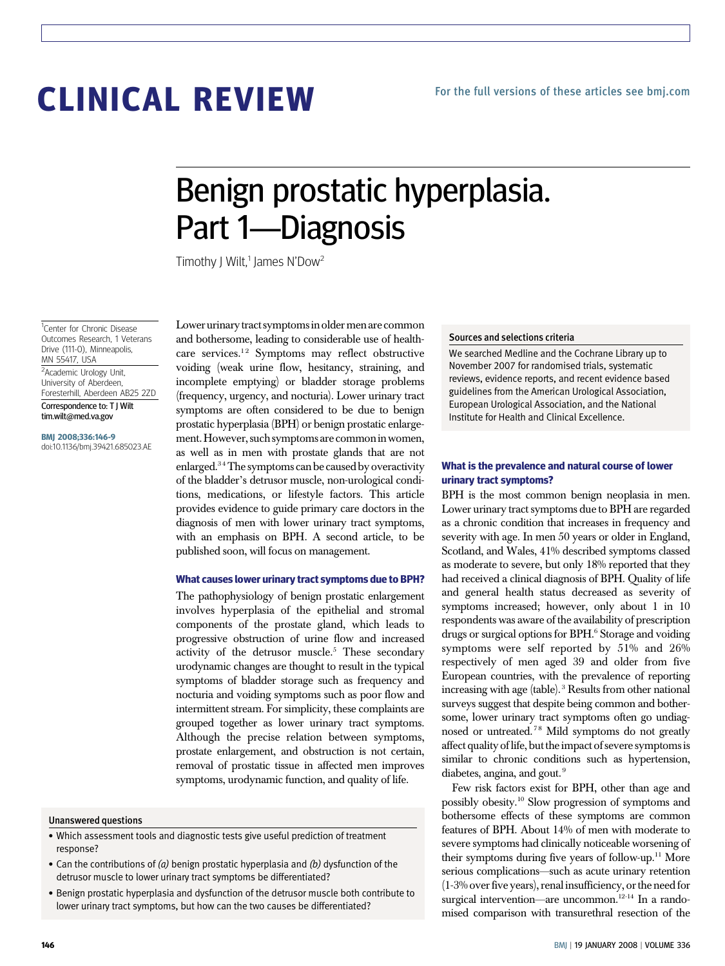# CLINICAL REVIEW

## Benign prostatic hyperplasia. Part 1—Diagnosis

Timothy J Wilt,<sup>1</sup> James N'Dow<sup>2</sup>

<sup>1</sup>Center for Chronic Disease Outcomes Research, 1 Veterans Drive (111-0), Minneapolis, MN 55417, USA

<sup>2</sup>Academic Urology Unit, University of Aberdeen, Foresterhill, Aberdeen AB25 2ZD Correspondence to: T J Wilt tim.wilt@med.va.gov

BMJ 2008;336:146-9 doi:10.1136/bmj.39421.685023.AE Lower urinary tract symptoms in older men are common and bothersome, leading to considerable use of healthcare services.<sup>12</sup> Symptoms may reflect obstructive voiding (weak urine flow, hesitancy, straining, and incomplete emptying) or bladder storage problems (frequency, urgency, and nocturia). Lower urinary tract symptoms are often considered to be due to benign prostatic hyperplasia (BPH) or benign prostatic enlargement.However, such symptoms are commonin women, as well as in men with prostate glands that are not enlarged.3 4The symptoms can be caused by overactivity of the bladder's detrusor muscle, non-urological conditions, medications, or lifestyle factors. This article provides evidence to guide primary care doctors in the diagnosis of men with lower urinary tract symptoms, with an emphasis on BPH. A second article, to be published soon, will focus on management.

#### What causes lower urinary tract symptoms due to BPH?

The pathophysiology of benign prostatic enlargement involves hyperplasia of the epithelial and stromal components of the prostate gland, which leads to progressive obstruction of urine flow and increased activity of the detrusor muscle.<sup>5</sup> These secondary urodynamic changes are thought to result in the typical symptoms of bladder storage such as frequency and nocturia and voiding symptoms such as poor flow and intermittent stream. For simplicity, these complaints are grouped together as lower urinary tract symptoms. Although the precise relation between symptoms, prostate enlargement, and obstruction is not certain, removal of prostatic tissue in affected men improves symptoms, urodynamic function, and quality of life.

#### Unanswered questions

- Which assessment tools and diagnostic tests give useful prediction of treatment response?
- Can the contributions of  $(a)$  benign prostatic hyperplasia and  $(b)$  dysfunction of the detrusor muscle to lower urinary tract symptoms be differentiated?
- Benign prostatic hyperplasia and dysfunction of the detrusor muscle both contribute to lower urinary tract symptoms, but how can the two causes be differentiated?

#### Sources and selections criteria

We searched Medline and the Cochrane Library up to November 2007 for randomised trials, systematic reviews, evidence reports, and recent evidence based guidelines from the American Urological Association, European Urological Association, and the National Institute for Health and Clinical Excellence.

#### What is the prevalence and natural course of lower urinary tract symptoms?

BPH is the most common benign neoplasia in men. Lower urinary tract symptoms due to BPH are regarded as a chronic condition that increases in frequency and severity with age. In men 50 years or older in England, Scotland, and Wales, 41% described symptoms classed as moderate to severe, but only 18% reported that they had received a clinical diagnosis of BPH. Quality of life and general health status decreased as severity of symptoms increased; however, only about 1 in 10 respondents was aware of the availability of prescription drugs or surgical options for BPH.<sup>6</sup> Storage and voiding symptoms were self reported by 51% and 26% respectively of men aged 39 and older from five European countries, with the prevalence of reporting increasing with age (table). <sup>3</sup> Results from other national surveys suggest that despite being common and bothersome, lower urinary tract symptoms often go undiagnosed or untreated.<sup>78</sup> Mild symptoms do not greatly affect quality of life, butthe impact of severe symptoms is similar to chronic conditions such as hypertension, diabetes, angina, and gout.<sup>9</sup>

Few risk factors exist for BPH, other than age and possibly obesity.10 Slow progression of symptoms and bothersome effects of these symptoms are common features of BPH. About 14% of men with moderate to severe symptoms had clinically noticeable worsening of their symptoms during five years of follow-up.<sup>11</sup> More serious complications—such as acute urinary retention (1-3% overfive years), renal insufficiency, orthe needfor surgical intervention—are uncommon.<sup>12-14</sup> In a randomised comparison with transurethral resection of the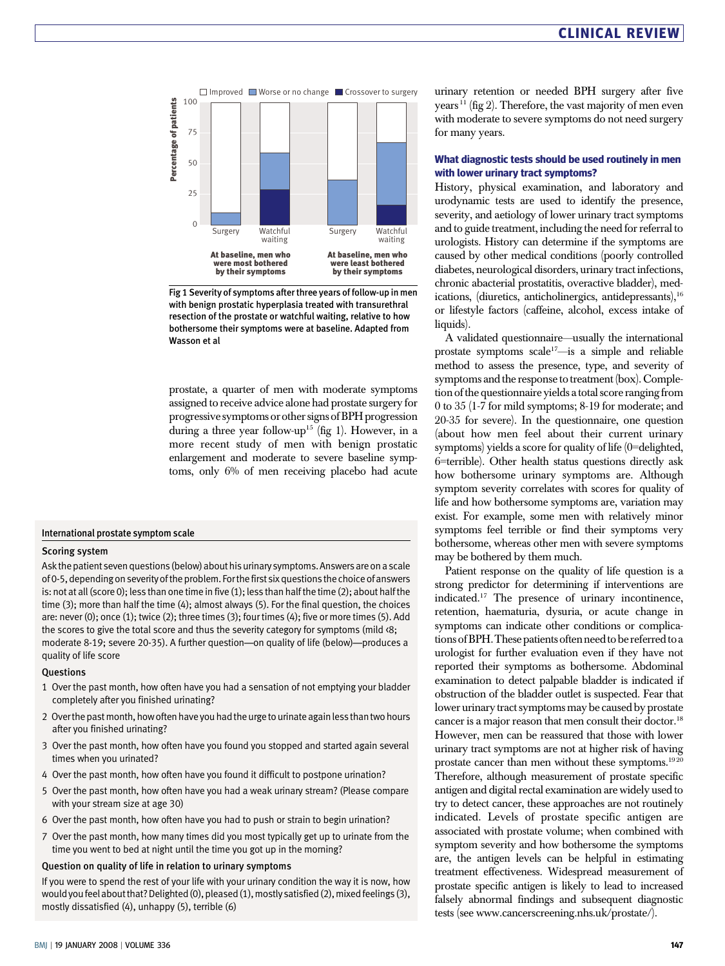

Fig 1 Severity of symptoms after three years of follow-up in men with benign prostatic hyperplasia treated with transurethral resection of the prostate or watchful waiting, relative to how bothersome their symptoms were at baseline. Adapted from Wasson et al

prostate, a quarter of men with moderate symptoms assigned to receive advice alone had prostate surgery for progressive symptoms or other signs ofBPH progression during a three year follow-up<sup>15</sup> (fig 1). However, in a more recent study of men with benign prostatic enlargement and moderate to severe baseline symptoms, only 6% of men receiving placebo had acute

#### International prostate symptom scale

#### Scoring system

Ask the patient seven questions (below) about his urinary symptoms. Answers are on a scale of 0-5, depending on severity of the problem. For thefirst six questions the choice of answers is: not at all (score 0); less than one time in five (1); less than half the time (2); about half the time (3); more than half the time (4); almost always (5). For the final question, the choices are: never (0); once (1); twice (2); three times (3); four times (4); five or more times (5). Add the scores to give the total score and thus the severity category for symptoms (mild <8; moderate 8-19; severe 20-35). A further question—on quality of life (below)—produces a quality of life score

#### Questions

- 1 Over the past month, how often have you had a sensation of not emptying your bladder completely after you finished urinating?
- 2 Over the pastmonth, how often have you had the urge to urinate againless than two hours after you finished urinating?
- 3 Over the past month, how often have you found you stopped and started again several times when you urinated?
- 4 Over the past month, how often have you found it difficult to postpone urination?
- 5 Over the past month, how often have you had a weak urinary stream? (Please compare with your stream size at age 30)
- 6 Over the past month, how often have you had to push or strain to begin urination?
- 7 Over the past month, how many times did you most typically get up to urinate from the time you went to bed at night until the time you got up in the morning?

#### Question on quality of life in relation to urinary symptoms

If you were to spend the rest of your life with your urinary condition the way it is now, how would you feel about that? Delighted (0), pleased (1), mostly satisfied (2), mixed feelings (3), mostly dissatisfied (4), unhappy (5), terrible (6)

urinary retention or needed BPH surgery after five years<sup>11</sup> (fig 2). Therefore, the vast majority of men even with moderate to severe symptoms do not need surgery for many years.

#### What diagnostic tests should be used routinely in men with lower urinary tract symptoms?

History, physical examination, and laboratory and urodynamic tests are used to identify the presence, severity, and aetiology of lower urinary tract symptoms and to guide treatment, including the need for referral to urologists. History can determine if the symptoms are caused by other medical conditions (poorly controlled diabetes, neurological disorders, urinary tract infections, chronic abacterial prostatitis, overactive bladder), medications, (diuretics, anticholinergics, antidepressants),<sup>16</sup> or lifestyle factors (caffeine, alcohol, excess intake of liquids).

A validated questionnaire—usually the international prostate symptoms scale<sup>17</sup>-is a simple and reliable method to assess the presence, type, and severity of symptoms and the response to treatment (box). Completion of the questionnaire yields a total score ranging from 0 to 35 (1-7 for mild symptoms; 8-19 for moderate; and 20-35 for severe). In the questionnaire, one question (about how men feel about their current urinary symptoms) yields a score for quality of life (0=delighted, 6=terrible). Other health status questions directly ask how bothersome urinary symptoms are. Although symptom severity correlates with scores for quality of life and how bothersome symptoms are, variation may exist. For example, some men with relatively minor symptoms feel terrible or find their symptoms very bothersome, whereas other men with severe symptoms may be bothered by them much.

Patient response on the quality of life question is a strong predictor for determining if interventions are indicated.17 The presence of urinary incontinence, retention, haematuria, dysuria, or acute change in symptoms can indicate other conditions or complications of BPH. These patients often need to be referred to a urologist for further evaluation even if they have not reported their symptoms as bothersome. Abdominal examination to detect palpable bladder is indicated if obstruction of the bladder outlet is suspected. Fear that lower urinary tract symptoms may be caused by prostate cancer is a major reason that men consult their doctor.<sup>18</sup> However, men can be reassured that those with lower urinary tract symptoms are not at higher risk of having prostate cancer than men without these symptoms.<sup>1920</sup> Therefore, although measurement of prostate specific antigen and digital rectal examination are widely used to try to detect cancer, these approaches are not routinely indicated. Levels of prostate specific antigen are associated with prostate volume; when combined with symptom severity and how bothersome the symptoms are, the antigen levels can be helpful in estimating treatment effectiveness. Widespread measurement of prostate specific antigen is likely to lead to increased falsely abnormal findings and subsequent diagnostic tests (see www.cancerscreening.nhs.uk/prostate/).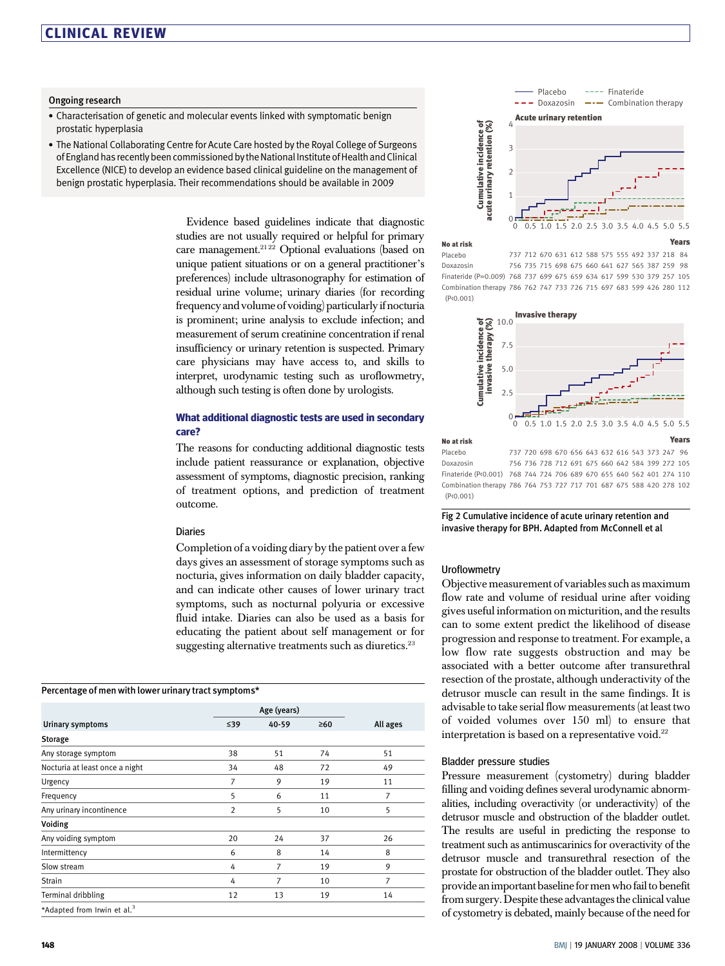### CLINICAL REVIEW

#### Ongoing research

- Characterisation of genetic and molecular events linked with symptomatic benign prostatic hyperplasia
- The National Collaborating Centre for Acute Care hosted by the Royal College of Surgeons of England has recently been commissioned by the National Institute of Health and Clinical Excellence (NICE) to develop an evidence based clinical guideline on the management of benign prostatic hyperplasia. Their recommendations should be available in 2009

Evidence based guidelines indicate that diagnostic studies are not usually required or helpful for primary care management.<sup>2122</sup> Optional evaluations (based on unique patient situations or on a general practitioner's preferences) include ultrasonography for estimation of residual urine volume; urinary diaries (for recording frequency and volume of voiding) particularlyif nocturia is prominent; urine analysis to exclude infection; and measurement of serum creatinine concentration if renal insufficiency or urinary retention is suspected. Primary care physicians may have access to, and skills to interpret, urodynamic testing such as uroflowmetry, although such testing is often done by urologists.

#### What additional diagnostic tests are used in secondary care?

The reasons for conducting additional diagnostic tests include patient reassurance or explanation, objective assessment of symptoms, diagnostic precision, ranking of treatment options, and prediction of treatment outcome.

#### Diaries

Completion of a voiding diary by the patient over a few days gives an assessment of storage symptoms such as nocturia, gives information on daily bladder capacity, and can indicate other causes of lower urinary tract symptoms, such as nocturnal polyuria or excessive fluid intake. Diaries can also be used as a basis for educating the patient about self management or for suggesting alternative treatments such as diuretics.<sup>23</sup>

#### Percentage of men with lower urinary tract symptoms\*

| Urinary symptoms                        | Age (years)    |       |           |          |
|-----------------------------------------|----------------|-------|-----------|----------|
|                                         | ≤39            | 40-59 | $\geq 60$ | All ages |
| <b>Storage</b>                          |                |       |           |          |
| Any storage symptom                     | 38             | 51    | 74        | 51       |
| Nocturia at least once a night          | 34             | 48    | 72        | 49       |
| Urgency                                 | 7              | 9     | 19        | 11       |
| Frequency                               | 5              | 6     | 11        | 7        |
| Any urinary incontinence                | $\overline{2}$ | 5     | 10        | 5        |
| Voiding                                 |                |       |           |          |
| Any voiding symptom                     | 20             | 24    | 37        | 26       |
| Intermittency                           | 6              | 8     | 14        | 8        |
| Slow stream                             | 4              | 7     | 19        | 9        |
| <b>Strain</b>                           | 4              | 7     | 10        | 7        |
| Terminal dribbling                      | 12             | 13    | 19        | 14       |
| *Adapted from Irwin et al. <sup>3</sup> |                |       |           |          |

0 0 2 3 4 1 0.5 1.0 1.5 2.0 2.5 3.0 3.5 4.0 4.5 5.0 5.5 Placebo  $-$  Doxazosin ---- Finateride  $\longrightarrow$  Combination therapy Acute urinary retention

#### Years

737 712 670 631 612 588 575 555 492 337 218 84 756 735 715 698 675 660 641 627 565 387 259 98 Finateride (P=0.009) 768 737 699 675 659 634 617 599 530 379 257 105 Combination therapy 786 762 747 733 726 715 697 683 599 426 280 112 Placebo Doxazosin (P<0.001)



756 736 728 712 691 675 660 642 584 399 272 105 Finateride (P<0.001) 768 744 724 706 689 670 655 640 562 401 274 110 Combination therapy 786 764 753 727 717 701 687 675 588 420 278 102 Placebo Doxazosin (P<0.001)

Fig 2 Cumulative incidence of acute urinary retention and invasive therapy for BPH. Adapted from McConnell et al

#### **Uroflowmetry**

No at risk

Objective measurement of variables such as maximum flow rate and volume of residual urine after voiding gives useful information on micturition, and the results can to some extent predict the likelihood of disease progression and response to treatment. For example, a low flow rate suggests obstruction and may be associated with a better outcome after transurethral resection of the prostate, although underactivity of the detrusor muscle can result in the same findings. It is advisable to take serial flow measurements (at least two of voided volumes over 150 ml) to ensure that interpretation is based on a representative void.<sup>22</sup> **By the new of cystometric P(AC)** ( $\frac{1}{1000}$  and  $\frac{1}{1000}$  and  $\frac{1}{1000}$  and  $\frac{1}{1000}$  and  $\frac{1}{1000}$  and  $\frac{1}{1000}$  and  $\frac{1}{1000}$  and  $\frac{1}{1000}$  and  $\frac{1}{1000}$  and  $\frac{1}{1000}$  and  $\frac{1}{1000}$  and

#### Bladder pressure studies

Pressure measurement (cystometry) during bladder filling and voiding defines several urodynamic abnormalities, including overactivity (or underactivity) of the detrusor muscle and obstruction of the bladder outlet. The results are useful in predicting the response to treatment such as antimuscarinics for overactivity of the detrusor muscle and transurethral resection of the prostate for obstruction of the bladder outlet. They also provide an important baseline for men who fail to benefit from surgery. Despite these advantages the clinical value